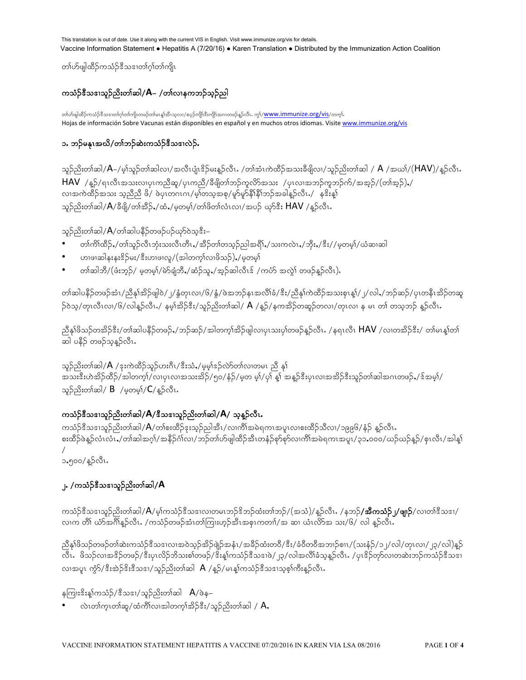တၢ်ဟိမျှထိဉ်ကသံဉ်ဒီသဒၢတၢ်ဂ္ဂါတၢ်ကျိၤ

# ကင်္သာနီသဒေသည်ဆုံးတစ်ဆဲ|/**A**= /တင်္လာနကဘဉ်သွဉ်ညါ

တါဟ်ဖျါထိဉ်ကသဉ်ဒီသဒၢတါဂုါတါကျိ၊တဖဉ်တါမၤန္၊်အီၤသုလ၊/စပ္ဉာ်ကျိာ်ဒီးကျိာ်အဂၤတဖဉ်နူဉ်လီၤ. ကွါ/<mark>WWW.immunize.org/vis</mark>/တက္i် Hojas de información Sobre Vacunas están disponibles en español y en muchos otros idiomas. Visite www.immunize.org/vis

## ၁. ဘဉ်မနုၤအယိ/တၢ်ဘဉ်ဆဲးကသံဉ်ဒီသဒၢလဲဉ်.

သူဉ်ညိးတါဆါ/ $A$ –/မ့ါသူဉ်တါဆါလ၊/အလီၤပုံု၊ $\frac{2}{3}$ ဉ်မးနူဉ်လီၤ. /တါအံၤကဲထိဉ်အသးခီဖိျလ၊/သူဉ်ညိးတါဆါ /  $A$  /အဃ $\frac{1}{(HAV)}$ နူဉ်လီၤ. HAV /နူဉ်/ရၤလီၤအသးလၢပုၤကညီဆူ/ပုၤကညီ/ခီဖျိတၢ်ဘဉ်ကူလိာ်အသး /ပုၤလၢအဘဉ်ကူဘဉ်က်/အအ့ဉ်/(တၢ်အ့ဉ်),/ ားသည်။<br>လျှောက်ထိုသည် သည်သို့ ဖို႔ ဖဲပုံပုတ္တဂၤဂၢ / မွာတသွအစု / မှာမွန်နီးသည်အခါနည်လီၤ / ှန်ဒီးန္နု သူဉ်ညိးတ $\delta$ ဆါ/ $A/\rhd$ ဖြို/တ $\rhd\rhd\rhd$ ်,/မှတမ္ $\delta$ /တ $\rhd\rhd\cr$ လ $\gamma$ အပဉ် ယှ $\rhd\rhd\rhd$ း  $\text{HAV}\,$  /နူဉ်လီ $\iota$ .

### သူဉ်ညိးတ $\infty$ ါက်)/ $A$ /တ $\infty$ ါဆါပနိဉ်တဖဉ်ပဉ်ယှ $\infty$ ဘေး $\infty$

- $\omega$ တ်ကြိ $\infty$ ်/တ္က်သည်လီးဘုံးသးလီးတီး $\omega/$ အိဉ်တ္က်တသည်ညါအရိ $1$ ,/သးကလဲး,/ဘိုး,/ $\frac{3}{2}$ း//မှတမျ်/ဃံဆ၊ဆါ
- ဟၢဖၢဆါနးနး<sup>ဒ္ဌ</sup>ဉ်မႈ/ ဒီးဟၢဖၢလူ/(အါတက္န်္ဂလၢဖိသဉ်),/မွတမွှ
- $\ket{\psi_{\mathrm{min}}-\psi_{\mathrm{min}}-\psi_{\mathrm{min}}-\psi_{\mathrm{min}}-\psi_{\mathrm{min}}-\psi_{\mathrm{min}}-\psi_{\mathrm{min}}-\psi_{\mathrm{min}}-\psi_{\mathrm{min}}-\psi_{\mathrm{min}}-\psi_{\mathrm{min}}-\psi_{\mathrm{min}}-\psi_{\mathrm{min}}-\psi_{\mathrm{min}}-\psi_{\mathrm{min}}-\psi_{\mathrm{min}}-\psi_{\mathrm{min}}-\psi_{\mathrm{min}}-\psi_{\mathrm{min}}-\psi_{\mathrm{min}}-\psi_{\mathrm{min}}-\psi_{\mathrm{min}}-\psi_{\mathrm{min}}-\psi_{\mathrm{min}}-\psi_{\mathrm{min}}-\psi_{\mathrm{min}}-\psi_{\mathrm{min}}-\psi$

တၢ်ဆါပနီဉ်တဖဉ်အံၤ/ညီနှၤ်အိဉ်ဖျါဝဲ/၂/နှံတုၤလ၊/၆/နှံ/ဖဲအဘဉ်နၤအလိၢ်ခံ/ဒီး/ညီနှၤ်ကဲထိဉ်အသးစုၤန၊်/၂/လါႇ/ဘဉ်ဆဉ်/ပုၤတနီၤအိဉ်တဆူ  $\beta$ ၀ဲသ္/တုၤလီၤလၢ/၆/လါန္ဉ်ာလီၤႇ/ နမ္၊်အိဉ် $\delta$ း/သူဉ်ညိးတၢ်ဆါ/  $\mathsf A$  /န္ဉ်ာ/နကအိဉ်တဆူဉ်တလၢ/တုၤလၢ န မၤ တၢ် တသ္ဘာဉ် န္ဥလီၤ

ညီနှၤ်ဖိသဉ်တအိဉ်ဒီး/တၢ်ဆါပနိဉ်တဖဉ်ႇ/ဘဉ်ဆဉ်/အါတက့ၤ်အိဉ်ဖျါလၢပှၤသးပှၤ်တဖဉ်နှဉ်လီၤႉ /နရၤလီၤ <code>HAV</code> /လၢတအိဉ်ဒီး/ တ၊်မၤန္၊ါတ၊် ဆါ ပနိ၌ တဖဉ်သနဉ်လီး.

သူဉ်ညိးတၢ်ဆါ/ $\mathsf{A}$  /ဒုးကဲထိဉ်သူဉ်ဟးဂိၤ/ဒီးသံ $\mathsf{,}$ /မဲ့မှါဒဉ်လာ်တ၊်လ၊တမၤ ညီ နု၊် ်း;' —<br>'အသးဒီးဟဲအိဉ်ထိဉ်/အါတက္រ်/လ၊ပုၤလ၊အသးအိဉ်/၅၀/နံဉ်/မှတ မ့၊်/ပု၊် နှု၊် အနူဉ်ဒီးပုၤလ၊အအိဉ်ဒီးသူဉ်တ၊်ဆါအဂၤတဖဉ်,/ဒဏမေ့၊်/ သူဉ်ညိးတ $\delta$ ဆါ/ B /မှတမ $\delta$ / $C/\delta$ ှိုလီၤ.

## ကသံဉ်<sup>နွ</sup>ံသဒၢသူဉ်ညိးတၢ်ဆါ/**A**/ဒီသဒၢသူဉ်ညိးတၢ်ဆါ/**A**/ သုန္**ဉ်လီၤ**

ကသံဉ်ဒီသဒၢသူဉ်ညိးတ၊်ဆါ/ $A$ /တ၊်စးထိဉ်ဒုးသူဉ်ညါအီၤ/လ၊ကိၢ်အမဲရကၤအပူၤလ၊စးထိဉ်သိလ၊/၁၉၉၆/နံဉ် နူဉ်လီၤ စးထိဉ်ဖဲန္ဉ်လံၤလံၤႇ/တၢ်ဆါအဂ္ဂၢ်ဴ/အနိဉ်ဂၢ်လၢ/ဘဉ်တၢ်ဟ်ဖျါထိဉ်အီၤတနံဉ်စုာ်စုာ်လၢကိၢ်အမဲရကၤအပူၤ/၃၁ႇ၀၀၀/ဃဉ်ယဉ်နဉ်/စုၤလီၤ/အါန္၊  $\overline{A}$ 

၁,၅၀၀/နဉ်လီၤ.

## ၂**.** /ကသံဉ်<sup>8ွ</sup>သဒၢသူဉ်ညိးတၢ်ဆါ/**A**

ကသံဉ်ဒီသဒၢသူဉ်ညိးတၢ်ဆါ/ $A$ /မ့္ပ်ကသံဉ်ဒီသဒၢလ၊တမၤဘဉ်ဒိဘဉ်ထံးတၢ်ဘဉ်/(အသံ)/နူဉ်လီၤ $\cdot$  /နဘဉ်**/အီကသံဉ်၂/ဖျ၊ဉ်**/လ၊တၢ်ဒီသဒၢ/ လ၊က တိ၊် ယံာ်အင်္ဂါန္ ဉ်လီး , /ကသံဉ်တဖဉ်အံၤတ၊်ကြးဟ္ဥာအိၤအစုၤကတၢ၊ /အ ဆ၊ ယံၤလိာအ သႏ/၆/ လါ န္ဥာလီး

ညီနှၢ်ဖိသဉ်တဖဉ်တ၊်ဆဲးကသံဉ် $\overset{2}{3}$ သဒၢလၢအဝဲသ့ဉ်အိဉ်ဖျဲဉ်အနံၤ/အခိဉ်ထံးတဝိ/ $\overset{2}{3}$ း/ခံဝိတဝိအဘၢဉ်စၢၤ/(သးနံဉ်/၁၂/လါ/တုၤလၢ/၂၃/လါ)န့ဉ် vDRI zdo.vXt'd.wz.A'D;ySRvd.bdo;p>wz.A'd;M>uoH.'Do'XzJA23AvgtvD>cHohM.vDRI AySR'd.wkmvXwqJ;b.uoH.'Do'X လ၊အပူ၊ ကံ့ $\delta/\mathring{\mathcal{S}}$ းအဲ့ $\mathcal{S}$ းဒီသ $\mathfrak{so}$ 1/သူဉ်ညီးတၢ်ဆါ  $\mathsf{A}/\mathfrak{g}$ ဉ်/မၤန္၊်ကသံဉ်ဒီသ $\mathfrak{so}$ 1သ္စ္စာ၊်ကီးနူဉ်လီၤ

နကြူး $\hat{\mathbf{x}}$ းနှုကသံဉ်/ $\hat{\mathbf{x}}$ သ $\mathbf{x}_1$ /သူဉ်ညီးတ $\hat{\mathbf{a}}$ သ $\hat{\mathbf{a}}$   $\mathbf{A}/\hat{\mathbf{a}}$ န $\hat{\mathbf{a}}$ 

 $\omega$ တ်က $\cos(\omega\phi)$ လုပ်တွေကြသည်  $\sin(\omega\phi)$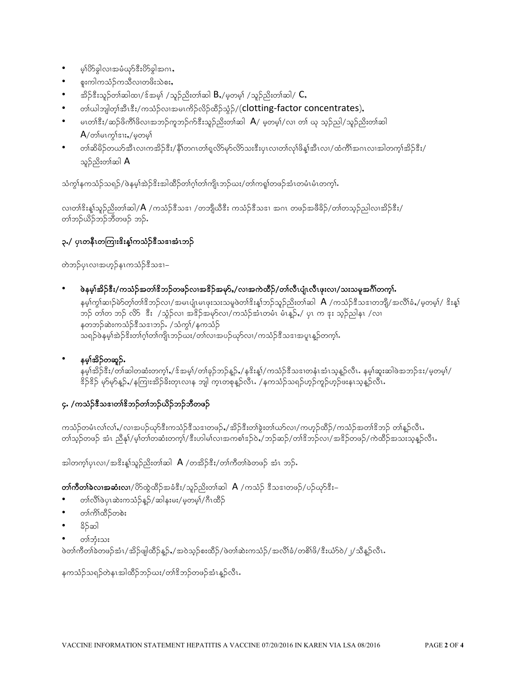- မ္နုလွဲခဲ့ျပားအဇ္နက္နွားလွဲခဲ့ျအပၤ  $\bullet$
- စူးကါကသံဉ်ကသီလၢတဖိုးသဲစး
- အိဉ်ဒီးသူဉ်တၢ်ဆါထ၊/ဒ်အမ္) /သူဉ်ညိးတၢ်ဆါ  $\mathsf B$ ,/မ္မတမ္) /သူဉ်ညိးတၢ်ဆါ/  $\mathsf C,$  $\bullet$
- တာ်ယါဘူါတ္နာအီးဒီး/ကသံဉ်လ၊အမၤကိဉ်လိဉ်ထိဉ်သံ့ဉ်/(clotting-factor concentrates),
- မၤတၢ်ဒီး/ဆဉ်ဖိကိၢိဖိလၢအဘဉ်ကူဘဉ်က်ဒီးသူဉ်ညိးတၢ်ဆါ  $A$ / မှတမ့ၢ်/လ၊ တၢ် ယု သွဉ်ညါ/သူဉ်ညိးတၢ်ဆါ  $A$ /တၢိမၤက္ဂၢ်ဒၢး,/မ္မတမ္န၊
- တၢ်ဆိမိဉ်တယာ်အီၤလၢကအိဉ်ဒီး/နိုၢ်တဂၤတၢ်ရှလိာ်မှာ်လိာ်သးဒီးပုၤလၢတၢ်လှ၊်ဖိန္၊်အီၤလၢ/ထံကိၢ်အဂၤလၢအါတက္၊်အိဉ်ဒီး/ သူဉ်ညိးတ<sup>ှ</sup>ဆါ **A**

သံကွါနကသံဉ်သရဉ်/ဖဲနမ့ါအဲဉ်ဒိးအါထိဉ်တၢ်ဂ္ဂါတၢ်ကျိၤဘဉ်ဃး/တၢ်ကရှု၊်တဖဉ်အံၤတမံၤမံၤတက္ဂါ.

လ၊တၢိဒိးန္၊်သူဉ်ညိးတၢ်ဆါ/ $A$  /ကသံဉ်ဒီသဒၢ /တဘျိယီဒီး ကသံဉ်ဒီသဒၢ အဂၤ တဖဉ်အဖိခိဉ်/တၢ်တသူဉ်ညါလ၊အိဉ်ဒီး/ တၢဴဘဉ်ယိဉ်ဘဉ်ဘီတဖဉ် ဘဉ်.

## ၃./ ပုၤတနီၤတကြၢးၓိးန္၊်ကသံဉ်ဒီသဒၢအံၤဘဉ်

တဲဘဉ်ပုၤလၢအဟ့ဉ်နၤကသံဉ်ဒီသဒၢ–

ဖဲနမ္န္ကုံအိဉ်ဒီး/ကသံဉ်အတၢိနိဘဉ်တဖဉ်လၢအဖိဉ်အမှာ်,/လၢအကဲထိဉ်/တၢဴလီၤပျံၤလီၤဖုးလ၊/သးသမှုအင်္ဂါတက္န၊်

နမ့္ပ်က္ပါဆၤာ်မဲာ်တ္ပါတါဒိဘဉ်လ၊/အမၤပျံၤမၤဖုးသးသမူဖဲတါဒိးန္၊်ဘဉ်သူဉ်ညိးတၤ်ဆါ  $\,A\,$ /ကသံဉ်ဒိသဒၢတဘျိ/အလိၢ်ခံႇ/မ့တမ့္ပ်/ ဒိးန္၊် ဘဉ် တၢ်တ ဘဉ် လိ $5$ းီး  $\,$ /သွံဉ်လၢ အဒိဉ်အမှာ်လ၊/ကသံဉ်အံၤတမံၤ မံၤန္ဉာ် / ပုၤ က ဒုး သူဉ်ညါနၤ /လ၊ နတဘဉ်ဆဲးကသံဉ်ဒီသဒၢဘဉ်ႉ /သံကွၢ်/နကသံဉ် သရဉ်ဖဲနမ့<sup>6</sup>အဲဉ်ဒိးတၢ်ဂ့ါတ၊်ကျိၤဘဉ်ယး/တ၊်လ၊အပဉ်ယှာ်လ၊/ကသံဉ်ဒီသဒၢအပူ၊ နုဉ်တက္၊်.

#### နမ္န္ကုံအိ့ဉ်တဆူဉ်.

.<br>နမ္1အိဉ်ဒီး/တၢ်ဆါတဆံးတက္1,/ဒ်အမ္1/တၢဴခုဉ်ဘဉ်န္ဉာ,/နဒိးန္1/ကသံဉ်ဒီသဒၢတနံၤအံၤသ္နန္ဥလီၤႉ နမ္1်ဆူးဆါဖဲအဘဉ်ဒး/မ္မတမ္1/ နိ5်နိ5် မှာ်မှာ်နူ5်,/နကြားအိဉ်ခိုးတုၤလၢန ဘျါ ကူးတစုနူဉ်လီၤ. /နကသံဉ်သရဉ်ဟုဉ်ကူဉ်ဟုဉ်ဖႏနၤသ့နူဉ်လီၤ.

#### ၄. /ကသံဉ်ဒီသဒၢတၢ်ဒိဘဉ်တၢ်ဘဉ်ယိဉ်ဘဉ်ဘီတဖဉ်

ကသံဉ်တမံၤလၢ်လၢ်ႇ/လၢအပဉ်ယုာ်ဒီးကသံဉ်ဒီသဒၢတဖဉ်ႇ/အိဉ်ဒီးတၢ်ခွဲးတ၊်ယာ်လၢ/ကဟ္ဥ်ထိဉ်/ကသံဉ်အတၢ်ဒိဘဉ် တၢ်န္ဥ်ာလိၤႉ တၢဴသူဉ်တဖဉ် အံၤ ညီနှ\/မ့္ပ်တၢ်တဆံးတက္}/ဒီးဟါမ္ပါလၢအကစ္ပါဒ-်ာပွဲ-/ဘဉ်ဆဉ်/တၢိဒိဘဉ်လ၊/အဒိဉ်တဖဉ်/ကဲထိဉ်အသးသူနူဉ်လီၤ

အါတက္န္ကုပ္စ္အျပား အုန္းစားသုတ္ႀကီးအခါ အျပားအခ်က္အိုး/တ္ပါတီတ္ပါခဲ့တဖ္ခြဲ အံုး ဘုန္ပ

တင်္ဂကိတ္က်ခဲလ္ကုအဆုံးလု၊/တိုထဲ့ထိဉ်အခံဒီး/သူဉ်ညိးတ္က်ဆါ  $A$  /ကသံဉ် ဒီသဒၤတဖဉ်/ပဉ်ယှာ်ဒီး–

- တၢ်လိၢ်ဖဲပုၤဆဲးကသံဉ်န္ဉာ်/ဆါနးမး/မ့တမ့ၢ်ံ/ဂ်ီၤထိဉ်
- တၢ်ကိၢ်ထိဉ်တစဲး
- နိ5်ဆါ
- တၢ်ဘုံးသး

.<br>ဖဲတၢ်ကိတၢ်ခဲတဖဉ်အံၤ/အိဉ်ဖျါထိဉ်နူဉ်ႇ/အ၀ဲသူဉ်စးထိဉ်/ဖဲတၢ်ဆဲးကသံဉ်/အလိၢ်ခံ/တစိၢ်ဖိ/ဒီးယံာ်၀ဲ/၂/သိန္ဉာ်လီၤ

နကသံဉ်သရဉ်တဲနၤအါထိဉ်ဘဉ်ဃး/တၢ်ိဒိဘဉ်တဖဉ်အံၤန္ဉာလီၤႉ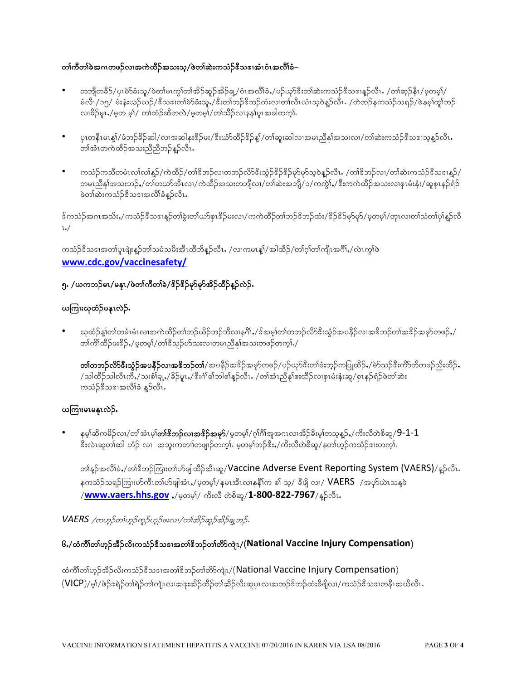#### တၢဴကီတၢ်ခဲအဂၤတဖဉ်လၢအကဲထိဉ်အသးသ္/ဖဲတၢ်ဆဲးကသံဉ်ဒီသဒၢအံၤဝံၤအလိၢ်ခံ–

- တဘျိတခ်ိဉ်/ပုၤမဲာ်ခံးသူ/ဖဲတၤ်မၤက္ဂၤ်တၤ်အိဉ်ဆူဉ်အိဉ်ချု/ဝံၤအလိၢ်ခံႇ/ပဉ်ယှာ်ဒီးတၤ်ဆဲးကသံဉ်ဒီသဒၢနူဉ်လီၤ /တၢ်ဆ္ဉ်နိၤ/မူတမူၢ်/ မံလီၤ/၁၅/ မံးနံးယဉ်ယဉ်/ဒီသဒၢတၢိမဲာ်ခံးသူ,/ဒီးတၢ်ဘဉ်ဒိဘဉ်ထံးလၢတၢ်လီၤယံၤသ္ဝဲန္ဥ်လီၤႉ /တဲဘဉ်နကသံဉ်သရဉ်/ဖဲနမ္၊်တူ၊်ဘဉ် လၢခိဉ်မူၤႇ/မှတ မ့)်/ တၢ်ထံဉ်ဆီတလဲ/မှတမ့)်/တၢ်သိဉ်လၢနန۱်ပူၤအခါတက္i်.
- ပုၤတနီၤမၤန္)်/ဖံဘဉ်ခိဉ်ဆါ/လၢအဆါနး<sup>စ္ဖ</sup>ဉ်မႈ/ဒီးယံာ်ထိဉ်ဒိဉ်န့)်/တၢ်ဆူးဆါလၢအမၤညီနှၤ်အသးလၢ/တၢ်ဆဲးကသံဉ်ဒီသဒၢသ္နန္ဥလီၤ တါအံၤတကဲထိဉ်အသးညီညီဘဉ်နဉ်လီၤႉ
- ကသံဉ်ကသီတမံၤလၢ်လ၊်နူဉ်/ကဲထိဉ်/တၢ်ိအာဉ်လ၊တဘဉ်လိာ်ဒီးသွံဉ်ဒိဉ်ဒိုန်မှာမှာ်သူဝဲနူဉ်လီၤႉ /တၢ်ိဒိဘဉ်လ၊/တ၊်ဆဲးကသံဉ်ဒီသဒၢနူဉ်/ တမၤညီနု၊်အသးဘဉ်ႇ/တၢ်တယာ်အီၤလ၊/ကဲထိဉ်အသးတဘျိလ၊/တၢ်ဆဲးအဘျိ/၁/ကကွဲ၊်ႇ/ဒီးကကဲထိဉ်အသးလၢစုၤမံးနံး/ဆူစုၤနဉ်ရံဉ် ဖဲတၢ်ဆဲးကသံဉ်ဒီသဒၢအလိၢ်ခံနဉ်လီၤႉ

<sup>န့်</sup>ကသံဉ်အဂၤအသိးႇ/ကသံဉ်<sup>နွ</sup>သဒၢနူဉ်တၢ်ခွဲးတၢ်ယာ်စုၤဒိဉ်မးလၢ/ကကဲထိဉ်တၢ်ဘဉ်ဒိဘဉ်ထံး/ဒိဉ်ဒိဉ်မှာ်မှ>်/မှတမ့ၢ်/တုၤလၢတၢ်သံတၢ်ပုၢ်နူဉ်လိ  $\iota$ ./

ကသံဉ်ဒီသဒၢအတၢ်ပူးဖျံးနှဉ်တၢ်သမံသမိးအိၤထိဘိန္နာ်လီၤႉ /လၢကမၤန္န၊်/အါထိဉ်/တၢ်ဂ့ၢ်တ၊်ကျိၤအင်္ဂါႇ/လဲၤက္ဂၢ်ဖဲ– www.cdc.gov/vaccinesafety/

#### ၅. /ယကဘဉ်မၤ/မနုၤ/ဖဲတၢ်ကီတၢ်ခဲ/8ိဉ်8ိဉ်မှာ်မှာ်အိဉ်ထိဉ်နူဉ်လဲဉ်.

#### ယကြၢးယုထံဉ်မနၤလဲဉ်.

ယုထံဉ်နှုတ်ကြပ်ပေးပေးအကဲထိဉ်တ၊်ဘဉ်ယိဉ်ဘဉ်ဘီလ၊နဂိၢ်ႇ/ဒ်အမှ၊်တ၊်တဘဉ်လိာ်ဒီးသွံဉ်အပနိဉ်လ၊အဒိဘဉ်တ၊်အဒိဉ်အမှာ်တဖဉ်ႇ/ တၢ်ကိၢ်ထိဉ်ဖး<sup>8</sup>ဉ်ႇ/မ့တမ့၊်/တၢ်ဒီသူဉ်ဟ်သးလၢတမၤညီနှၤ်အသးတဖဉ်တက္ၢ်ႇ/

**တၢ်တဘဉ်လိာ်ဒီးသံ့ဉ်အပနိဉ်လၢအဒိဘဉ်တ၊်**/အပနိဉ်အ<sup>ပွ</sup>ဉ်အမှာ်တဖဉ်/ပဉ်ယှာ်ဒီးတၢ်ဖံးဘ္ဥ်ကပြုထိဉ်ႇ/မဲာ်သဉ်ဒီးကိာ်ဘိတဖဉ်ညိးထိဉ်ႇ /သါထိဉ်သါလီၤကိႇ/သးစံၢ်ချ့ႇ/ခိဉ်မူၤႇ/ဒီးဂံၢစစ်ဘါစၢ်န္ဉာလီၤႉ /တၢ်အံၤညိနှၤ်စးထိဉ်လၢစုၤမံးနံးဆူ/စုၤနဉ်ရံဉ်ဖဲတၢ်ဆဲး ကသံဉ်ဒီသဒၢအလိၢိခံ နူဉ်လီၤ.

#### ယကြၢးမၤမန္နၤလဲဉ်.

နမ့္ပ်ဆိကမိဉ်လ၊/တၢ်အံၤမ္ပါ**တၢ်ဒိဘဉ်လၢအဖိဉ်အမှာ်**/မ့တမ့္ပ်/ဂုၢိဂိၢိအူအဂၤလၢအိဉ်ခိႏမ့္ပ်တသ့န္ဉ**်,**/ကိႏလိတဲစိဆူ/**9-1-1** .<br>ဒီးလဲၤဆူတၢ်ဆါ ဟဉ် လၢ အဘူးကတၢၢ်တဖျာဉ်တက္i်. မှတမ္]ဘဉ်ဒီး,/ကိုးလီတဲစိဆူ/နတၢ်ဟ္၄်ကသံဉ်ဒၢးတက္i်.

တ္နြဲ႕ အလိုုံခဲ့႔တ္ပါးတဲ့ဥကြားတာပာပါျက္ရွိဥက္အေျပာင္းကေတြ Adverse Event Reporting System (VAERS)/နူဥကေျ နကသံဉ်သရဉ်ကြၢးဟ်ကီၤတၢ်ဟ်ဖျါအံၤႇ/မ့တမ့)်/ နမၤအီၤလၢနနိ1်က စၢ် သ့/ ခီဖျိ လၢ/  $\mathsf{VAERS}\;$  /အဟ်ယဲၤသန္နဖဲ /<mark>www.vaers.hhs.gov</mark> ,/မ္ဘတမ္န)/ ကိႈလီ တဲစိဆူ/**1-800-822-7967**/န္ဉာ်လီၤ.

VAERS /တဟုဉ်တၤ်ဟုဉ်ကူဉ်ဟုဉ်ဖးလၢ/တၤ်အိဉ်ဆူဉ်အိဉ်ချ့ဘဉ်.

## ၆./ထံကိၢိတ၊်ဟ္ဥ်အီဥ်လိုးကသံဥ်ဒီသဒၢအတါဒိဘဥ်တ၊်တိာ်ကျဲ၊/(National Vaccine Injury Compensation)

ထံကိါတါဟုဉ်အိဉ်လိုးကသံဉ်ဒီသဒၢအတၢ်ဒိဘဉ်တ၊်တိ $5$ ကျဲ၊/(National Vaccine Injury Compensation) (VICP)/မ့)်/ပဲဉ်ဒရဲဉ်တၢ်ရဲဉ်တ၊်ကျဲၤလ၊အဒုးအိဉ်ထိဉ်တၢ်အိဉ်လီးဆူပုၤလ၊အဘဉ်ဒိဘဉ်ထံးခီဖျိလ၊/ကသံဉ်ဒီသဒ၊တနီၤအယိလီၤ